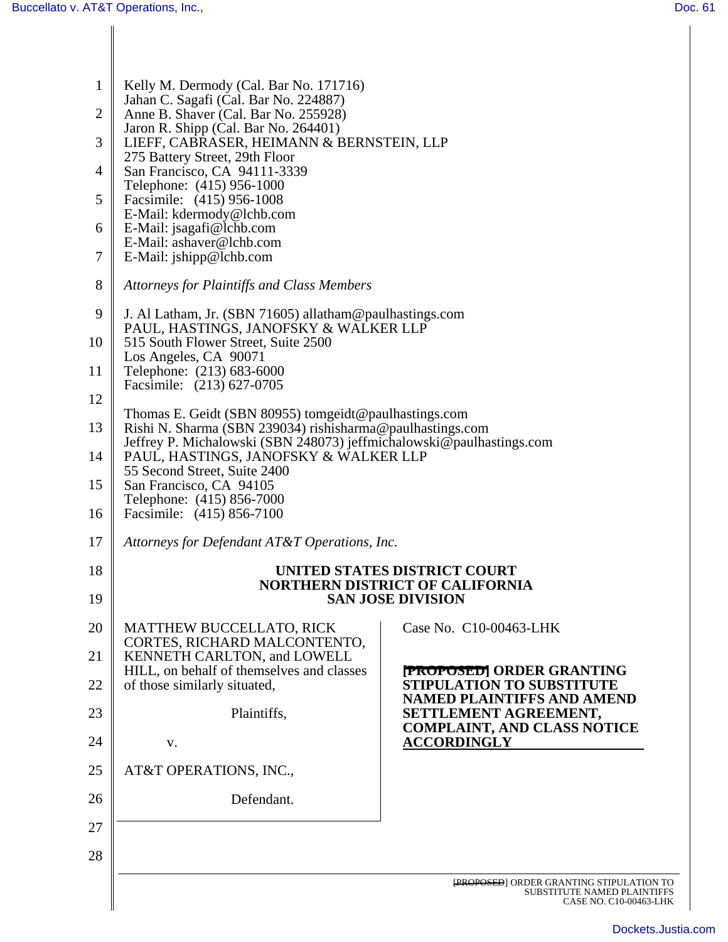| $\mathbf{1}$   | Kelly M. Dermody (Cal. Bar No. 171716)<br>Jahan C. Sagafi (Cal. Bar No. 224887)                                                                                  |                                                                                                         |  |
|----------------|------------------------------------------------------------------------------------------------------------------------------------------------------------------|---------------------------------------------------------------------------------------------------------|--|
| $\overline{2}$ | Anne B. Shaver (Cal. Bar No. 255928)                                                                                                                             |                                                                                                         |  |
| 3              | Jaron R. Shipp (Cal. Bar No. 264401)<br>LIEFF, CABRASER, HEIMANN & BERNSTEIN, LLP                                                                                |                                                                                                         |  |
| 4              | 275 Battery Street, 29th Floor<br>San Francisco, CA 94111-3339                                                                                                   |                                                                                                         |  |
|                | Telephone: (415) 956-1000                                                                                                                                        |                                                                                                         |  |
| 5              | Facsimile: (415) 956-1008<br>E-Mail: kdermody@lchb.com                                                                                                           |                                                                                                         |  |
| 6              | E-Mail: jsagafi@lchb.com<br>E-Mail: ashaver@lchb.com                                                                                                             |                                                                                                         |  |
| 7              | E-Mail: jshipp@lchb.com                                                                                                                                          |                                                                                                         |  |
| 8              | Attorneys for Plaintiffs and Class Members                                                                                                                       |                                                                                                         |  |
| 9              | J. Al Latham, Jr. (SBN 71605) allatham@paulhastings.com<br>PAUL, HASTINGS, JANOFSKY & WALKER LLP<br>515 South Flower Street, Suite 2500<br>Los Angeles, CA 90071 |                                                                                                         |  |
| 10             |                                                                                                                                                                  |                                                                                                         |  |
| 11             | Telephone: (213) 683-6000                                                                                                                                        |                                                                                                         |  |
| 12             | Facsimile: (213) 627-0705                                                                                                                                        |                                                                                                         |  |
| 13             | Thomas E. Geidt (SBN 80955) tomgeidt@paulhastings.com<br>Rishi N. Sharma (SBN 239034) rishisharma@paulhastings.com                                               |                                                                                                         |  |
| 14             | Jeffrey P. Michalowski (SBN 248073) jeffmichalowski@paulhastings.com<br>PAUL, HASTINGS, JANOFSKY & WALKER LLP                                                    |                                                                                                         |  |
|                | 55 Second Street, Suite 2400                                                                                                                                     |                                                                                                         |  |
| 15             | San Francisco, CA 94105<br>Telephone: (415) 856-7000                                                                                                             |                                                                                                         |  |
| 16             | Facsimile: (415) 856-7100                                                                                                                                        |                                                                                                         |  |
| 17             | Attorneys for Defendant AT&T Operations, Inc.                                                                                                                    |                                                                                                         |  |
| 18             | UNITED STATES DISTRICT COURT                                                                                                                                     |                                                                                                         |  |
| 19             | <b>NORTHERN DISTRICT OF CALIFORNIA</b><br><b>SAN JOSE DIVISION</b>                                                                                               |                                                                                                         |  |
| 20             | <b>MATTHEW BUCCELLATO, RICK</b><br>CORTES, RICHARD MALCONTENTO,                                                                                                  | Case No. C10-00463-LHK                                                                                  |  |
| 21             | KENNETH CARLTON, and LOWELL                                                                                                                                      |                                                                                                         |  |
| 22             | HILL, on behalf of themselves and classes<br>of those similarly situated,                                                                                        | <b>PROPOSED</b> ORDER GRANTING<br><b>STIPULATION TO SUBSTITUTE</b><br><b>NAMED PLAINTIFFS AND AMEND</b> |  |
| 23             | Plaintiffs,                                                                                                                                                      | SETTLEMENT AGREEMENT,<br><b>COMPLAINT, AND CLASS NOTICE</b>                                             |  |
| 24             | V.                                                                                                                                                               | <b>ACCORDINGLY</b>                                                                                      |  |
| 25             | AT&T OPERATIONS, INC.,                                                                                                                                           |                                                                                                         |  |
| 26             | Defendant.                                                                                                                                                       |                                                                                                         |  |
| 27             |                                                                                                                                                                  |                                                                                                         |  |
| 28             |                                                                                                                                                                  |                                                                                                         |  |
|                |                                                                                                                                                                  | <b>FROPOSED</b> ORDER GRANTING STIPULATION TO<br><b>SUBSTITUTE NAMED PLAINTIFFS</b>                     |  |
|                |                                                                                                                                                                  | CASE NO. C10-00463-LHK                                                                                  |  |